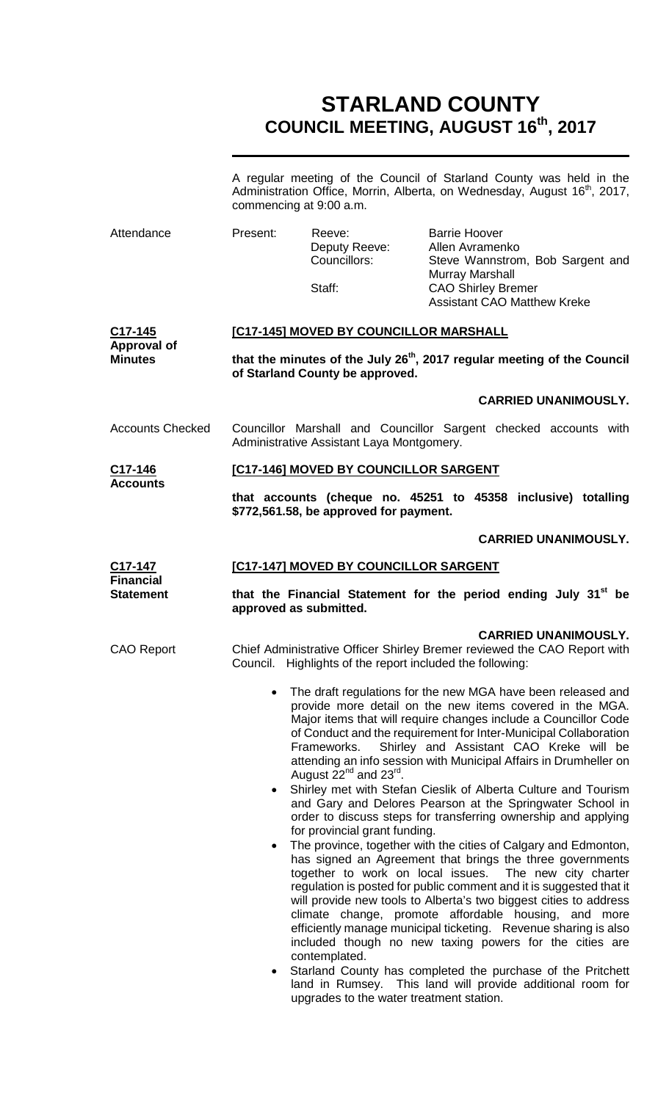# **STARLAND COUNTY COUNCIL MEETING, AUGUST 16th, 2017**

|                                                     | A regular meeting of the Council of Starland County was held in the<br>Administration Office, Morrin, Alberta, on Wednesday, August 16 <sup>th</sup> , 2017,<br>commencing at 9:00 a.m.                                                                                                                                                                                                                                                                                                                                                                                                                                                                                                                                                                                                                                                                                                                                                                                                                                                                                                                                                                                                                                                                                                                                                                                                                                                         |                                         |                                                                                    |  |  |
|-----------------------------------------------------|-------------------------------------------------------------------------------------------------------------------------------------------------------------------------------------------------------------------------------------------------------------------------------------------------------------------------------------------------------------------------------------------------------------------------------------------------------------------------------------------------------------------------------------------------------------------------------------------------------------------------------------------------------------------------------------------------------------------------------------------------------------------------------------------------------------------------------------------------------------------------------------------------------------------------------------------------------------------------------------------------------------------------------------------------------------------------------------------------------------------------------------------------------------------------------------------------------------------------------------------------------------------------------------------------------------------------------------------------------------------------------------------------------------------------------------------------|-----------------------------------------|------------------------------------------------------------------------------------|--|--|
| Attendance                                          | Present:                                                                                                                                                                                                                                                                                                                                                                                                                                                                                                                                                                                                                                                                                                                                                                                                                                                                                                                                                                                                                                                                                                                                                                                                                                                                                                                                                                                                                                        | Reeve:<br>Deputy Reeve:<br>Councillors: | <b>Barrie Hoover</b><br>Allen Avramenko<br>Steve Wannstrom, Bob Sargent and        |  |  |
|                                                     |                                                                                                                                                                                                                                                                                                                                                                                                                                                                                                                                                                                                                                                                                                                                                                                                                                                                                                                                                                                                                                                                                                                                                                                                                                                                                                                                                                                                                                                 | Staff:                                  | Murray Marshall<br><b>CAO Shirley Bremer</b><br><b>Assistant CAO Matthew Kreke</b> |  |  |
| $C17 - 145$<br><b>Approval of</b><br><b>Minutes</b> | [C17-145] MOVED BY COUNCILLOR MARSHALL                                                                                                                                                                                                                                                                                                                                                                                                                                                                                                                                                                                                                                                                                                                                                                                                                                                                                                                                                                                                                                                                                                                                                                                                                                                                                                                                                                                                          |                                         |                                                                                    |  |  |
|                                                     | that the minutes of the July 26 <sup>th</sup> , 2017 regular meeting of the Council<br>of Starland County be approved.                                                                                                                                                                                                                                                                                                                                                                                                                                                                                                                                                                                                                                                                                                                                                                                                                                                                                                                                                                                                                                                                                                                                                                                                                                                                                                                          |                                         |                                                                                    |  |  |
|                                                     |                                                                                                                                                                                                                                                                                                                                                                                                                                                                                                                                                                                                                                                                                                                                                                                                                                                                                                                                                                                                                                                                                                                                                                                                                                                                                                                                                                                                                                                 |                                         | <b>CARRIED UNANIMOUSLY.</b>                                                        |  |  |
| <b>Accounts Checked</b>                             | Councillor Marshall and Councillor Sargent checked accounts with<br>Administrative Assistant Laya Montgomery.                                                                                                                                                                                                                                                                                                                                                                                                                                                                                                                                                                                                                                                                                                                                                                                                                                                                                                                                                                                                                                                                                                                                                                                                                                                                                                                                   |                                         |                                                                                    |  |  |
| C17-146                                             |                                                                                                                                                                                                                                                                                                                                                                                                                                                                                                                                                                                                                                                                                                                                                                                                                                                                                                                                                                                                                                                                                                                                                                                                                                                                                                                                                                                                                                                 | [C17-146] MOVED BY COUNCILLOR SARGENT   |                                                                                    |  |  |
| <b>Accounts</b>                                     | that accounts (cheque no. 45251 to 45358 inclusive) totalling<br>\$772,561.58, be approved for payment.                                                                                                                                                                                                                                                                                                                                                                                                                                                                                                                                                                                                                                                                                                                                                                                                                                                                                                                                                                                                                                                                                                                                                                                                                                                                                                                                         |                                         |                                                                                    |  |  |
|                                                     |                                                                                                                                                                                                                                                                                                                                                                                                                                                                                                                                                                                                                                                                                                                                                                                                                                                                                                                                                                                                                                                                                                                                                                                                                                                                                                                                                                                                                                                 |                                         | <b>CARRIED UNANIMOUSLY.</b>                                                        |  |  |
| C17-147<br><b>Financial</b><br><b>Statement</b>     | <b>[C17-147] MOVED BY COUNCILLOR SARGENT</b>                                                                                                                                                                                                                                                                                                                                                                                                                                                                                                                                                                                                                                                                                                                                                                                                                                                                                                                                                                                                                                                                                                                                                                                                                                                                                                                                                                                                    |                                         |                                                                                    |  |  |
|                                                     | that the Financial Statement for the period ending July 31 <sup>st</sup> be<br>approved as submitted.                                                                                                                                                                                                                                                                                                                                                                                                                                                                                                                                                                                                                                                                                                                                                                                                                                                                                                                                                                                                                                                                                                                                                                                                                                                                                                                                           |                                         |                                                                                    |  |  |
| <b>CAO Report</b>                                   | <b>CARRIED UNANIMOUSLY.</b><br>Chief Administrative Officer Shirley Bremer reviewed the CAO Report with<br>Council. Highlights of the report included the following:                                                                                                                                                                                                                                                                                                                                                                                                                                                                                                                                                                                                                                                                                                                                                                                                                                                                                                                                                                                                                                                                                                                                                                                                                                                                            |                                         |                                                                                    |  |  |
|                                                     | The draft regulations for the new MGA have been released and<br>provide more detail on the new items covered in the MGA.<br>Major items that will require changes include a Councillor Code<br>of Conduct and the requirement for Inter-Municipal Collaboration<br>Shirley and Assistant CAO Kreke will be<br>Frameworks.<br>attending an info session with Municipal Affairs in Drumheller on<br>August 22 <sup>nd</sup> and 23 <sup>rd</sup> .<br>Shirley met with Stefan Cieslik of Alberta Culture and Tourism<br>$\bullet$<br>and Gary and Delores Pearson at the Springwater School in<br>order to discuss steps for transferring ownership and applying<br>for provincial grant funding.<br>The province, together with the cities of Calgary and Edmonton,<br>$\bullet$<br>has signed an Agreement that brings the three governments<br>together to work on local issues. The new city charter<br>regulation is posted for public comment and it is suggested that it<br>will provide new tools to Alberta's two biggest cities to address<br>climate change, promote affordable housing, and more<br>efficiently manage municipal ticketing. Revenue sharing is also<br>included though no new taxing powers for the cities are<br>contemplated.<br>Starland County has completed the purchase of the Pritchett<br>$\bullet$<br>land in Rumsey. This land will provide additional room for<br>upgrades to the water treatment station. |                                         |                                                                                    |  |  |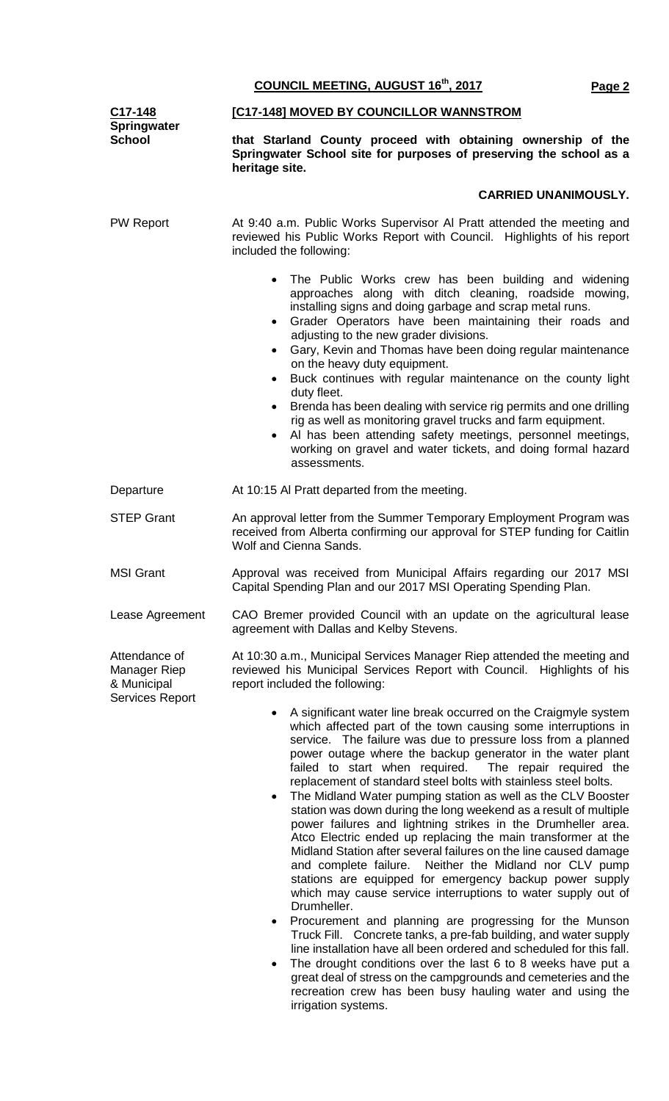**C17-148 Springwater School [C17-148] MOVED BY COUNCILLOR WANNSTROM that Starland County proceed with obtaining ownership of the Springwater School site for purposes of preserving the school as a heritage site. CARRIED UNANIMOUSLY.** PW Report At 9:40 a.m. Public Works Supervisor Al Pratt attended the meeting and reviewed his Public Works Report with Council. Highlights of his report included the following: The Public Works crew has been building and widening approaches along with ditch cleaning, roadside mowing, installing signs and doing garbage and scrap metal runs. • Grader Operators have been maintaining their roads and adjusting to the new grader divisions. • Gary, Kevin and Thomas have been doing regular maintenance on the heavy duty equipment. Buck continues with regular maintenance on the county light duty fleet. • Brenda has been dealing with service rig permits and one drilling rig as well as monitoring gravel trucks and farm equipment. Al has been attending safety meetings, personnel meetings, working on gravel and water tickets, and doing formal hazard assessments. Departure **At 10:15 Al Pratt departed from the meeting.** STEP Grant An approval letter from the Summer Temporary Employment Program was received from Alberta confirming our approval for STEP funding for Caitlin Wolf and Cienna Sands. MSI Grant **Approval was received from Municipal Affairs regarding our 2017 MSI** Capital Spending Plan and our 2017 MSI Operating Spending Plan. Lease Agreement CAO Bremer provided Council with an update on the agricultural lease agreement with Dallas and Kelby Stevens. Attendance of Manager Riep & Municipal Services Report At 10:30 a.m., Municipal Services Manager Riep attended the meeting and reviewed his Municipal Services Report with Council. Highlights of his report included the following: • A significant water line break occurred on the Craigmyle system which affected part of the town causing some interruptions in service. The failure was due to pressure loss from a planned power outage where the backup generator in the water plant failed to start when required. The repair required the failed to start when required. replacement of standard steel bolts with stainless steel bolts. • The Midland Water pumping station as well as the CLV Booster station was down during the long weekend as a result of multiple power failures and lightning strikes in the Drumheller area. Atco Electric ended up replacing the main transformer at the Midland Station after several failures on the line caused damage and complete failure. Neither the Midland nor CLV pump stations are equipped for emergency backup power supply which may cause service interruptions to water supply out of Drumheller. • Procurement and planning are progressing for the Munson

**COUNCIL MEETING, AUGUST 16th, 2017 Page 2**

Truck Fill. Concrete tanks, a pre-fab building, and water supply line installation have all been ordered and scheduled for this fall.

• The drought conditions over the last 6 to 8 weeks have put a great deal of stress on the campgrounds and cemeteries and the recreation crew has been busy hauling water and using the irrigation systems.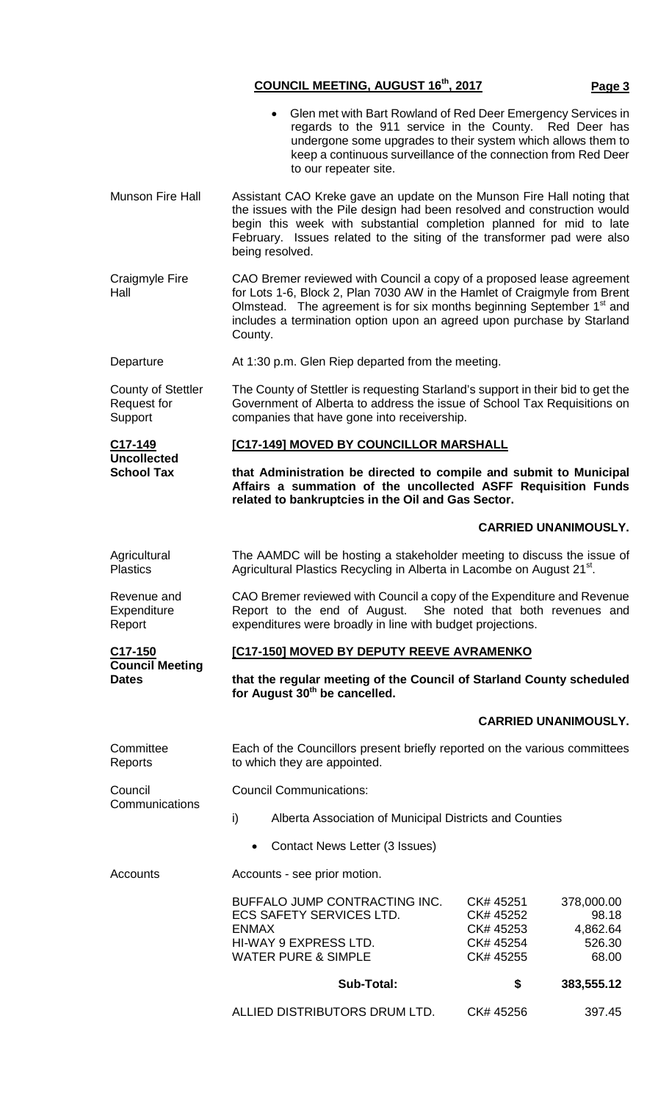## **COUNCIL MEETING, AUGUST 16th, 2017 Page 3**

|                                                     | Glen met with Bart Rowland of Red Deer Emergency Services in<br>regards to the 911 service in the County. Red Deer has<br>undergone some upgrades to their system which allows them to<br>keep a continuous surveillance of the connection from Red Deer<br>to our repeater site.                                            |                                                                                                                     |  |  |  |
|-----------------------------------------------------|------------------------------------------------------------------------------------------------------------------------------------------------------------------------------------------------------------------------------------------------------------------------------------------------------------------------------|---------------------------------------------------------------------------------------------------------------------|--|--|--|
| <b>Munson Fire Hall</b>                             | Assistant CAO Kreke gave an update on the Munson Fire Hall noting that<br>the issues with the Pile design had been resolved and construction would<br>begin this week with substantial completion planned for mid to late<br>February. Issues related to the siting of the transformer pad were also<br>being resolved.      |                                                                                                                     |  |  |  |
| <b>Craigmyle Fire</b><br>Hall                       | CAO Bremer reviewed with Council a copy of a proposed lease agreement<br>for Lots 1-6, Block 2, Plan 7030 AW in the Hamlet of Craigmyle from Brent<br>Olmstead. The agreement is for six months beginning September 1 <sup>st</sup> and<br>includes a termination option upon an agreed upon purchase by Starland<br>County. |                                                                                                                     |  |  |  |
| Departure                                           | At 1:30 p.m. Glen Riep departed from the meeting.                                                                                                                                                                                                                                                                            |                                                                                                                     |  |  |  |
| <b>County of Stettler</b><br>Request for<br>Support | The County of Stettler is requesting Starland's support in their bid to get the<br>Government of Alberta to address the issue of School Tax Requisitions on<br>companies that have gone into receivership.                                                                                                                   |                                                                                                                     |  |  |  |
| C17-149                                             | [C17-149] MOVED BY COUNCILLOR MARSHALL                                                                                                                                                                                                                                                                                       |                                                                                                                     |  |  |  |
| <b>Uncollected</b><br><b>School Tax</b>             | that Administration be directed to compile and submit to Municipal<br>Affairs a summation of the uncollected ASFF Requisition Funds<br>related to bankruptcies in the Oil and Gas Sector.                                                                                                                                    |                                                                                                                     |  |  |  |
|                                                     |                                                                                                                                                                                                                                                                                                                              | <b>CARRIED UNANIMOUSLY.</b>                                                                                         |  |  |  |
| Agricultural<br><b>Plastics</b>                     | The AAMDC will be hosting a stakeholder meeting to discuss the issue of<br>Agricultural Plastics Recycling in Alberta in Lacombe on August 21 <sup>st</sup> .                                                                                                                                                                |                                                                                                                     |  |  |  |
| Revenue and<br>Expenditure<br>Report                | CAO Bremer reviewed with Council a copy of the Expenditure and Revenue<br>Report to the end of August. She noted that both revenues and<br>expenditures were broadly in line with budget projections.                                                                                                                        |                                                                                                                     |  |  |  |
| C <sub>17</sub> -150                                | [C17-150] MOVED BY DEPUTY REEVE AVRAMENKO                                                                                                                                                                                                                                                                                    |                                                                                                                     |  |  |  |
| <b>Council Meeting</b><br><b>Dates</b>              | that the regular meeting of the Council of Starland County scheduled<br>for August 30 <sup>th</sup> be cancelled.                                                                                                                                                                                                            |                                                                                                                     |  |  |  |
|                                                     |                                                                                                                                                                                                                                                                                                                              | <b>CARRIED UNANIMOUSLY.</b>                                                                                         |  |  |  |
| Committee<br>Reports                                | Each of the Councillors present briefly reported on the various committees<br>to which they are appointed.                                                                                                                                                                                                                   |                                                                                                                     |  |  |  |
| Council                                             | <b>Council Communications:</b>                                                                                                                                                                                                                                                                                               |                                                                                                                     |  |  |  |
| Communications                                      | $\mathsf{i}$<br>Alberta Association of Municipal Districts and Counties                                                                                                                                                                                                                                                      |                                                                                                                     |  |  |  |
|                                                     | Contact News Letter (3 Issues)<br>$\bullet$                                                                                                                                                                                                                                                                                  |                                                                                                                     |  |  |  |
| Accounts                                            | Accounts - see prior motion.                                                                                                                                                                                                                                                                                                 |                                                                                                                     |  |  |  |
|                                                     | BUFFALO JUMP CONTRACTING INC.<br><b>ECS SAFETY SERVICES LTD.</b><br><b>ENMAX</b><br>HI-WAY 9 EXPRESS LTD.<br><b>WATER PURE &amp; SIMPLE</b>                                                                                                                                                                                  | CK# 45251<br>378,000.00<br>98.18<br>CK# 45252<br>4,862.64<br>CK# 45253<br>526.30<br>CK# 45254<br>CK# 45255<br>68.00 |  |  |  |
|                                                     | <b>Sub-Total:</b>                                                                                                                                                                                                                                                                                                            | \$<br>383,555.12                                                                                                    |  |  |  |

ALLIED DISTRIBUTORS DRUM LTD. CK# 45256 397.45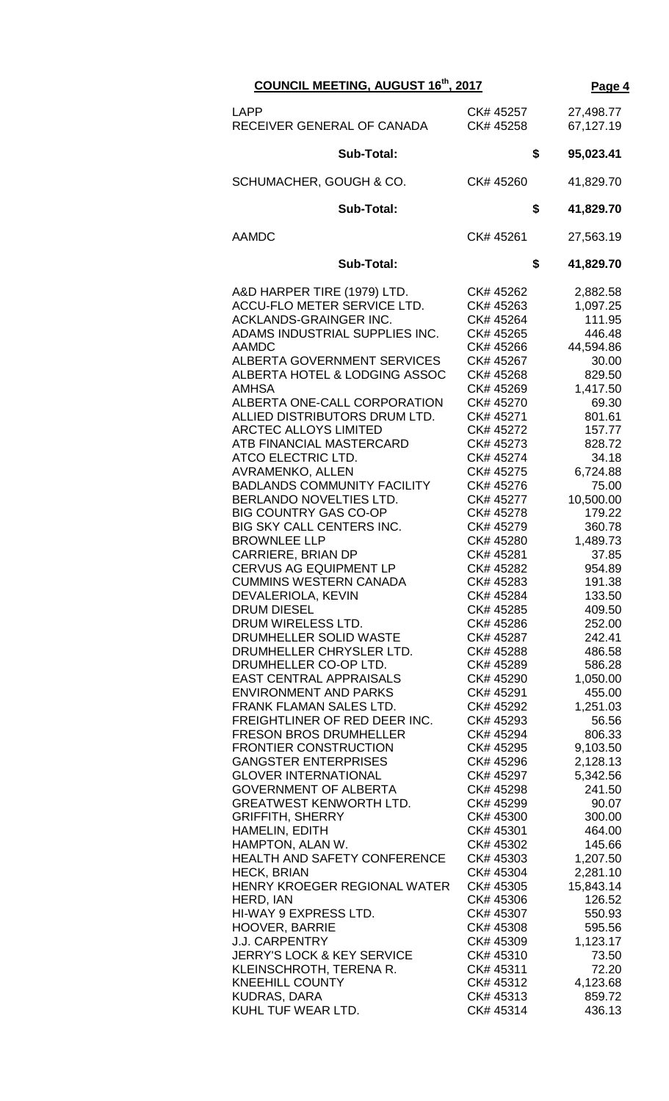| COUNCIL MEETING, AUGUST 16th, 2017                                                                                                                                                                                                                                                                                                                                                                                                                                                                                                                                                                                                                                                                                                                                                                                                                                                                                                                                                                                                                                                                                                                                                                                                                                                                                                                                                                                                                                                                                  | Page 4                                                                                                                                                                                                                                                                                                                                                                                                                                                                                                                                                                                                                                                                                           |                                                                                                                                                                                                                                                                                                                                                                                                                                                                                                                                                                  |
|---------------------------------------------------------------------------------------------------------------------------------------------------------------------------------------------------------------------------------------------------------------------------------------------------------------------------------------------------------------------------------------------------------------------------------------------------------------------------------------------------------------------------------------------------------------------------------------------------------------------------------------------------------------------------------------------------------------------------------------------------------------------------------------------------------------------------------------------------------------------------------------------------------------------------------------------------------------------------------------------------------------------------------------------------------------------------------------------------------------------------------------------------------------------------------------------------------------------------------------------------------------------------------------------------------------------------------------------------------------------------------------------------------------------------------------------------------------------------------------------------------------------|--------------------------------------------------------------------------------------------------------------------------------------------------------------------------------------------------------------------------------------------------------------------------------------------------------------------------------------------------------------------------------------------------------------------------------------------------------------------------------------------------------------------------------------------------------------------------------------------------------------------------------------------------------------------------------------------------|------------------------------------------------------------------------------------------------------------------------------------------------------------------------------------------------------------------------------------------------------------------------------------------------------------------------------------------------------------------------------------------------------------------------------------------------------------------------------------------------------------------------------------------------------------------|
| LAPP<br>RECEIVER GENERAL OF CANADA                                                                                                                                                                                                                                                                                                                                                                                                                                                                                                                                                                                                                                                                                                                                                                                                                                                                                                                                                                                                                                                                                                                                                                                                                                                                                                                                                                                                                                                                                  | CK# 45257<br>CK# 45258                                                                                                                                                                                                                                                                                                                                                                                                                                                                                                                                                                                                                                                                           | 27,498.77<br>67,127.19                                                                                                                                                                                                                                                                                                                                                                                                                                                                                                                                           |
| Sub-Total:                                                                                                                                                                                                                                                                                                                                                                                                                                                                                                                                                                                                                                                                                                                                                                                                                                                                                                                                                                                                                                                                                                                                                                                                                                                                                                                                                                                                                                                                                                          | \$                                                                                                                                                                                                                                                                                                                                                                                                                                                                                                                                                                                                                                                                                               | 95,023.41                                                                                                                                                                                                                                                                                                                                                                                                                                                                                                                                                        |
| SCHUMACHER, GOUGH & CO.                                                                                                                                                                                                                                                                                                                                                                                                                                                                                                                                                                                                                                                                                                                                                                                                                                                                                                                                                                                                                                                                                                                                                                                                                                                                                                                                                                                                                                                                                             | CK# 45260                                                                                                                                                                                                                                                                                                                                                                                                                                                                                                                                                                                                                                                                                        | 41,829.70                                                                                                                                                                                                                                                                                                                                                                                                                                                                                                                                                        |
| <b>Sub-Total:</b>                                                                                                                                                                                                                                                                                                                                                                                                                                                                                                                                                                                                                                                                                                                                                                                                                                                                                                                                                                                                                                                                                                                                                                                                                                                                                                                                                                                                                                                                                                   | \$                                                                                                                                                                                                                                                                                                                                                                                                                                                                                                                                                                                                                                                                                               | 41,829.70                                                                                                                                                                                                                                                                                                                                                                                                                                                                                                                                                        |
| <b>AAMDC</b>                                                                                                                                                                                                                                                                                                                                                                                                                                                                                                                                                                                                                                                                                                                                                                                                                                                                                                                                                                                                                                                                                                                                                                                                                                                                                                                                                                                                                                                                                                        | CK# 45261                                                                                                                                                                                                                                                                                                                                                                                                                                                                                                                                                                                                                                                                                        | 27,563.19                                                                                                                                                                                                                                                                                                                                                                                                                                                                                                                                                        |
| <b>Sub-Total:</b>                                                                                                                                                                                                                                                                                                                                                                                                                                                                                                                                                                                                                                                                                                                                                                                                                                                                                                                                                                                                                                                                                                                                                                                                                                                                                                                                                                                                                                                                                                   | \$                                                                                                                                                                                                                                                                                                                                                                                                                                                                                                                                                                                                                                                                                               | 41,829.70                                                                                                                                                                                                                                                                                                                                                                                                                                                                                                                                                        |
| A&D HARPER TIRE (1979) LTD.<br>ACCU-FLO METER SERVICE LTD.<br>ACKLANDS-GRAINGER INC.<br>ADAMS INDUSTRIAL SUPPLIES INC.<br><b>AAMDC</b><br><b>ALBERTA GOVERNMENT SERVICES</b><br>ALBERTA HOTEL & LODGING ASSOC<br><b>AMHSA</b><br>ALBERTA ONE-CALL CORPORATION<br>ALLIED DISTRIBUTORS DRUM LTD.<br><b>ARCTEC ALLOYS LIMITED</b><br>ATB FINANCIAL MASTERCARD<br>ATCO ELECTRIC LTD.<br><b>AVRAMENKO, ALLEN</b><br><b>BADLANDS COMMUNITY FACILITY</b><br>BERLANDO NOVELTIES LTD.<br><b>BIG COUNTRY GAS CO-OP</b><br>BIG SKY CALL CENTERS INC.<br><b>BROWNLEE LLP</b><br><b>CARRIERE, BRIAN DP</b><br><b>CERVUS AG EQUIPMENT LP</b><br><b>CUMMINS WESTERN CANADA</b><br>DEVALERIOLA, KEVIN<br><b>DRUM DIESEL</b><br>DRUM WIRELESS LTD.<br>DRUMHELLER SOLID WASTE<br>DRUMHELLER CHRYSLER LTD.<br>DRUMHELLER CO-OP LTD.<br><b>EAST CENTRAL APPRAISALS</b><br><b>ENVIRONMENT AND PARKS</b><br>FRANK FLAMAN SALES LTD.<br>FREIGHTLINER OF RED DEER INC.<br><b>FRESON BROS DRUMHELLER</b><br><b>FRONTIER CONSTRUCTION</b><br><b>GANGSTER ENTERPRISES</b><br><b>GLOVER INTERNATIONAL</b><br><b>GOVERNMENT OF ALBERTA</b><br><b>GREATWEST KENWORTH LTD.</b><br><b>GRIFFITH, SHERRY</b><br>HAMELIN, EDITH<br>HAMPTON, ALAN W.<br>HEALTH AND SAFETY CONFERENCE<br><b>HECK, BRIAN</b><br>HENRY KROEGER REGIONAL WATER<br>HERD, IAN<br>HI-WAY 9 EXPRESS LTD.<br><b>HOOVER, BARRIE</b><br><b>J.J. CARPENTRY</b><br><b>JERRY'S LOCK &amp; KEY SERVICE</b><br>KLEINSCHROTH, TERENA R.<br><b>KNEEHILL COUNTY</b><br><b>KUDRAS, DARA</b> | CK# 45262<br>CK# 45263<br>CK# 45264<br>CK# 45265<br>CK# 45266<br>CK# 45267<br>CK# 45268<br>CK# 45269<br>CK# 45270<br>CK# 45271<br>CK# 45272<br>CK# 45273<br>CK# 45274<br>CK# 45275<br>CK# 45276<br>CK# 45277<br>CK# 45278<br>CK# 45279<br>CK# 45280<br>CK# 45281<br>CK# 45282<br>CK# 45283<br>CK# 45284<br>CK# 45285<br>CK# 45286<br>CK# 45287<br>CK# 45288<br>CK# 45289<br>CK# 45290<br>CK# 45291<br>CK# 45292<br>CK# 45293<br>CK# 45294<br>CK# 45295<br>CK# 45296<br>CK# 45297<br>CK# 45298<br>CK# 45299<br>CK# 45300<br>CK# 45301<br>CK# 45302<br>CK# 45303<br>CK# 45304<br>CK# 45305<br>CK# 45306<br>CK# 45307<br>CK# 45308<br>CK# 45309<br>CK# 45310<br>CK# 45311<br>CK# 45312<br>CK# 45313 | 2,882.58<br>1,097.25<br>111.95<br>446.48<br>44,594.86<br>30.00<br>829.50<br>1,417.50<br>69.30<br>801.61<br>157.77<br>828.72<br>34.18<br>6,724.88<br>75.00<br>10,500.00<br>179.22<br>360.78<br>1,489.73<br>37.85<br>954.89<br>191.38<br>133.50<br>409.50<br>252.00<br>242.41<br>486.58<br>586.28<br>1,050.00<br>455.00<br>1,251.03<br>56.56<br>806.33<br>9,103.50<br>2,128.13<br>5,342.56<br>241.50<br>90.07<br>300.00<br>464.00<br>145.66<br>1,207.50<br>2,281.10<br>15,843.14<br>126.52<br>550.93<br>595.56<br>1,123.17<br>73.50<br>72.20<br>4,123.68<br>859.72 |
| KUHL TUF WEAR LTD.                                                                                                                                                                                                                                                                                                                                                                                                                                                                                                                                                                                                                                                                                                                                                                                                                                                                                                                                                                                                                                                                                                                                                                                                                                                                                                                                                                                                                                                                                                  | CK# 45314                                                                                                                                                                                                                                                                                                                                                                                                                                                                                                                                                                                                                                                                                        | 436.13                                                                                                                                                                                                                                                                                                                                                                                                                                                                                                                                                           |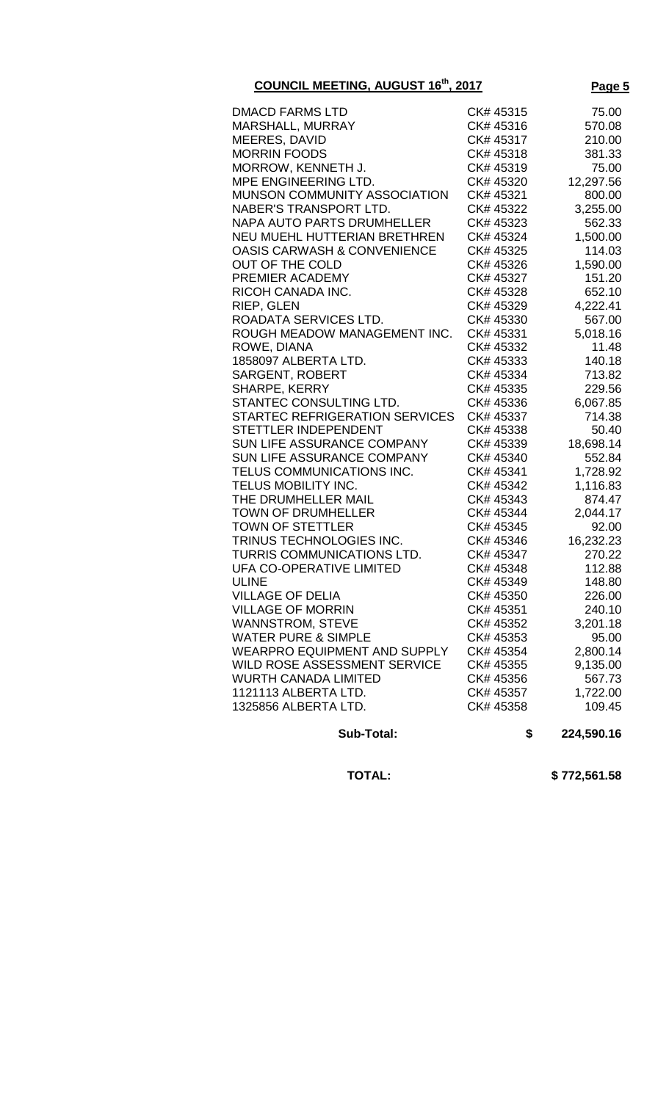| <b>COUNCIL MEETING, AUGUST 16th, 2017</b>                     | Page 5                 |                  |
|---------------------------------------------------------------|------------------------|------------------|
| <b>DMACD FARMS LTD</b>                                        | CK# 45315              | 75.00            |
| MARSHALL, MURRAY                                              | CK# 45316              | 570.08           |
| <b>MEERES, DAVID</b>                                          | CK# 45317              | 210.00           |
| <b>MORRIN FOODS</b>                                           | CK# 45318              | 381.33           |
| MORROW, KENNETH J.                                            | CK# 45319              | 75.00            |
| MPE ENGINEERING LTD.                                          | CK# 45320              | 12,297.56        |
| MUNSON COMMUNITY ASSOCIATION                                  | CK# 45321              | 800.00           |
| <b>NABER'S TRANSPORT LTD.</b>                                 | CK# 45322              | 3,255.00         |
| <b>NAPA AUTO PARTS DRUMHELLER</b>                             | CK# 45323              | 562.33           |
| NEU MUEHL HUTTERIAN BRETHREN                                  | CK# 45324              | 1,500.00         |
| <b>OASIS CARWASH &amp; CONVENIENCE</b>                        | CK# 45325              | 114.03           |
| <b>OUT OF THE COLD</b>                                        | CK# 45326              | 1,590.00         |
| PREMIER ACADEMY                                               | CK# 45327              | 151.20           |
| RICOH CANADA INC.                                             | CK# 45328              | 652.10           |
| RIEP, GLEN                                                    | CK# 45329              | 4,222.41         |
| ROADATA SERVICES LTD.                                         | CK# 45330              | 567.00           |
| ROUGH MEADOW MANAGEMENT INC.                                  | CK# 45331              | 5,018.16         |
| ROWE, DIANA                                                   | CK# 45332              | 11.48            |
| 1858097 ALBERTA LTD.                                          | CK# 45333              | 140.18           |
| <b>SARGENT, ROBERT</b>                                        | CK# 45334              | 713.82           |
| SHARPE, KERRY                                                 | CK# 45335              | 229.56           |
| STANTEC CONSULTING LTD.                                       | CK# 45336              | 6,067.85         |
| STARTEC REFRIGERATION SERVICES                                | CK# 45337              | 714.38           |
| <b>STETTLER INDEPENDENT</b>                                   | CK# 45338              | 50.40            |
| SUN LIFE ASSURANCE COMPANY                                    | CK# 45339              | 18,698.14        |
| SUN LIFE ASSURANCE COMPANY                                    | CK# 45340              | 552.84           |
| TELUS COMMUNICATIONS INC.                                     | CK# 45341              | 1,728.92         |
| TELUS MOBILITY INC.                                           | CK# 45342              | 1,116.83         |
| THE DRUMHELLER MAIL                                           | CK# 45343              | 874.47           |
| <b>TOWN OF DRUMHELLER</b>                                     | CK# 45344              | 2,044.17         |
| <b>TOWN OF STETTLER</b>                                       | CK# 45345              | 92.00            |
| TRINUS TECHNOLOGIES INC.<br><b>TURRIS COMMUNICATIONS LTD.</b> | CK# 45346              | 16,232.23        |
|                                                               | CK# 45347              | 270.22           |
| UFA CO-OPERATIVE LIMITED<br><b>ULINE</b>                      | CK# 45348<br>CK# 45349 | 112.88           |
| <b>VILLAGE OF DELIA</b>                                       | CK# 45350              | 148.80<br>226.00 |
| <b>VILLAGE OF MORRIN</b>                                      | CK# 45351              | 240.10           |
| <b>WANNSTROM, STEVE</b>                                       | CK# 45352              | 3,201.18         |
| <b>WATER PURE &amp; SIMPLE</b>                                | CK# 45353              | 95.00            |
| WEARPRO EQUIPMENT AND SUPPLY                                  | CK# 45354              | 2,800.14         |
| WILD ROSE ASSESSMENT SERVICE                                  | CK# 45355              | 9,135.00         |
| <b>WURTH CANADA LIMITED</b>                                   | CK# 45356              | 567.73           |
| 1121113 ALBERTA LTD.                                          | CK# 45357              | 1,722.00         |
| 1325856 ALBERTA LTD.                                          | CK# 45358              | 109.45           |
|                                                               |                        |                  |
| Sub-Total:                                                    | \$                     | 224,590.16       |

 **TOTAL: \$ 772,561.58**